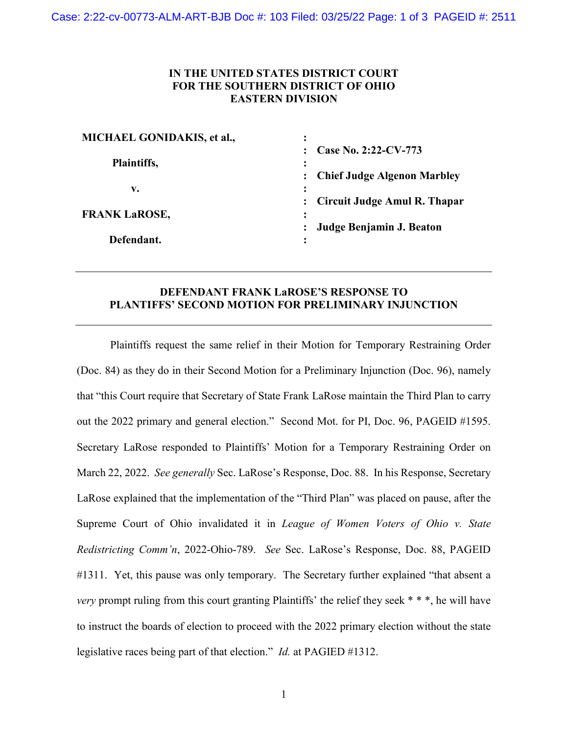## **IN THE UNITED STATES DISTRICT COURT FOR THE SOUTHERN DISTRICT OF OHIO EASTERN DIVISION**

| : Chief Judge Algenon Marbley |
|-------------------------------|
|                               |
| Circuit Judge Amul R. Thapar  |
|                               |
| Judge Benjamin J. Beaton      |
|                               |
|                               |

## **DEFENDANT FRANK LaROSE'S RESPONSE TO PLANTIFFS' SECOND MOTION FOR PRELIMINARY INJUNCTION**

Plaintiffs request the same relief in their Motion for Temporary Restraining Order (Doc. 84) as they do in their Second Motion for a Preliminary Injunction (Doc. 96), namely that "this Court require that Secretary of State Frank LaRose maintain the Third Plan to carry out the 2022 primary and general election." Second Mot. for PI, Doc. 96, PAGEID #1595. Secretary LaRose responded to Plaintiffs' Motion for a Temporary Restraining Order on March 22, 2022. *See generally* Sec. LaRose's Response, Doc. 88. In his Response, Secretary LaRose explained that the implementation of the "Third Plan" was placed on pause, after the Supreme Court of Ohio invalidated it in *League of Women Voters of Ohio v. State Redistricting Comm'n*, 2022-Ohio-789. *See* Sec. LaRose's Response, Doc. 88, PAGEID #1311. Yet, this pause was only temporary. The Secretary further explained "that absent a *very* prompt ruling from this court granting Plaintiffs' the relief they seek \* \* \*, he will have to instruct the boards of election to proceed with the 2022 primary election without the state legislative races being part of that election." *Id.* at PAGIED #1312.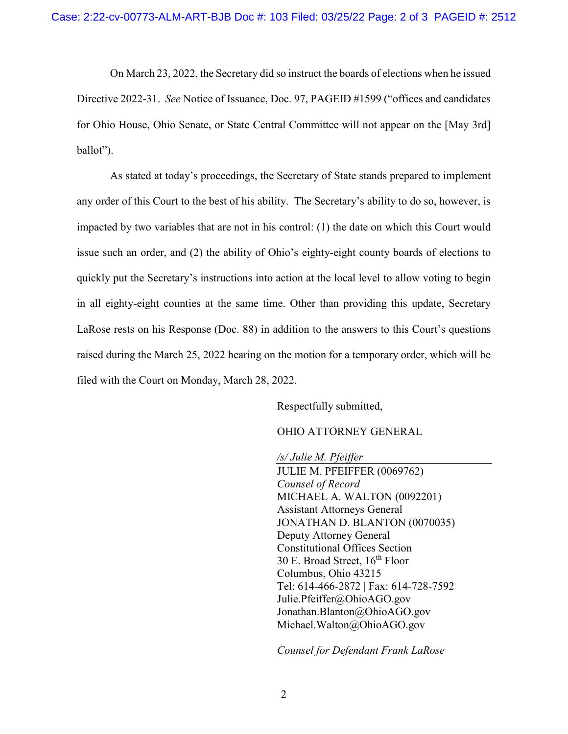On March 23, 2022, the Secretary did so instruct the boards of elections when he issued Directive 2022-31. *See* Notice of Issuance, Doc. 97, PAGEID #1599 ("offices and candidates for Ohio House, Ohio Senate, or State Central Committee will not appear on the [May 3rd] ballot").

As stated at today's proceedings, the Secretary of State stands prepared to implement any order of this Court to the best of his ability. The Secretary's ability to do so, however, is impacted by two variables that are not in his control: (1) the date on which this Court would issue such an order, and (2) the ability of Ohio's eighty-eight county boards of elections to quickly put the Secretary's instructions into action at the local level to allow voting to begin in all eighty-eight counties at the same time. Other than providing this update, Secretary LaRose rests on his Response (Doc. 88) in addition to the answers to this Court's questions raised during the March 25, 2022 hearing on the motion for a temporary order, which will be filed with the Court on Monday, March 28, 2022.

Respectfully submitted,

OHIO ATTORNEY GENERAL

*/s/ Julie M. Pfeiffer* JULIE M. PFEIFFER (0069762) *Counsel of Record* MICHAEL A. WALTON (0092201) Assistant Attorneys General JONATHAN D. BLANTON (0070035) Deputy Attorney General Constitutional Offices Section 30 E. Broad Street, 16<sup>th</sup> Floor Columbus, Ohio 43215 Tel: 614-466-2872 | Fax: 614-728-7592 Julie.Pfeiffer@OhioAGO.gov Jonathan.Blanton@OhioAGO.gov Michael.Walton@OhioAGO.gov

*Counsel for Defendant Frank LaRose*